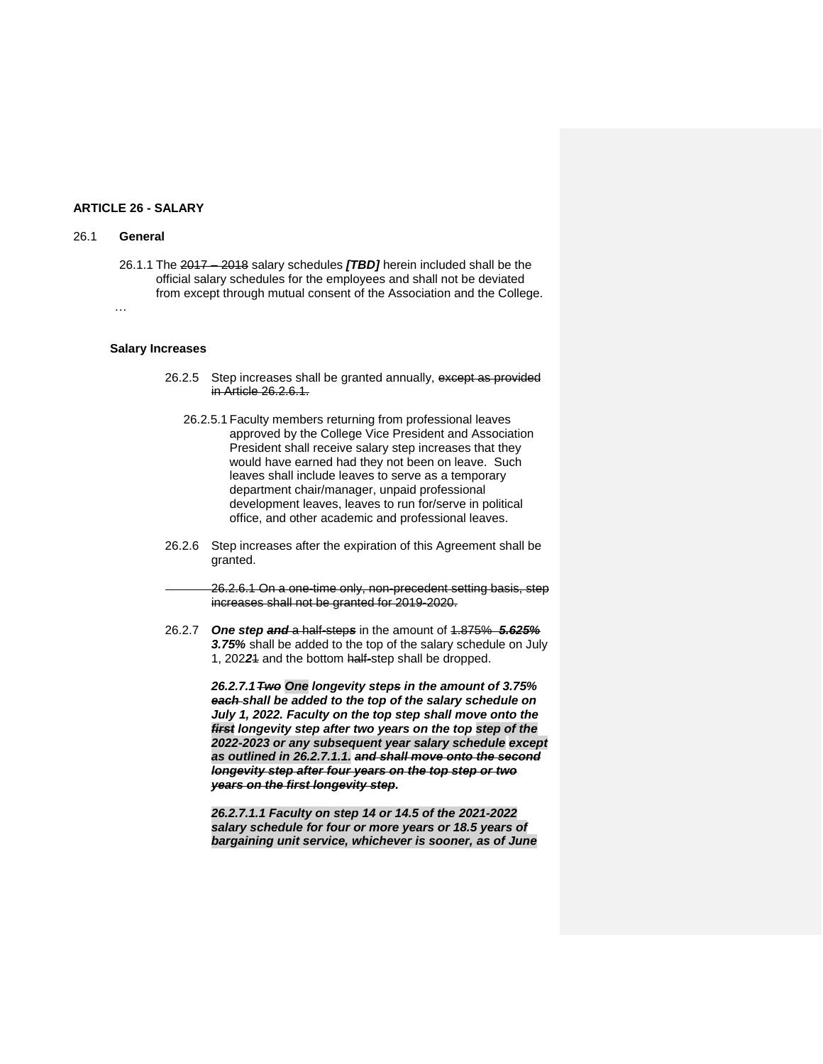## **ARTICLE 26 - SALARY**

## 26.1 **General**

26.1.1 The 2017 – 2018 salary schedules *[TBD]* herein included shall be the official salary schedules for the employees and shall not be deviated from except through mutual consent of the Association and the College.

…

# **Salary Increases**

- 26.2.5 Step increases shall be granted annually, except as provided in Article 26.2.6.1.
	- 26.2.5.1 Faculty members returning from professional leaves approved by the College Vice President and Association President shall receive salary step increases that they would have earned had they not been on leave. Such leaves shall include leaves to serve as a temporary department chair/manager, unpaid professional development leaves, leaves to run for/serve in political office, and other academic and professional leaves.
- 26.2.6 Step increases after the expiration of this Agreement shall be granted.
	- 26.2.6.1 On a one-time only, non-precedent setting basis, step increases shall not be granted for 2019-2020.
- 26.2.7 *One step and* a half-step*s* in the amount of 1.875% *5.625% 3.75%* shall be added to the top of the salary schedule on July 1, 202*2*1 and the bottom half-step shall be dropped.

*26.2.7.1Two One longevity steps in the amount of 3.75% each shall be added to the top of the salary schedule on July 1, 2022. Faculty on the top step shall move onto the first longevity step after two years on the top step of the 2022-2023 or any subsequent year salary schedule except as outlined in 26.2.7.1.1. and shall move onto the second longevity step after four years on the top step or two years on the first longevity step.*

*26.2.7.1.1 Faculty on step 14 or 14.5 of the 2021-2022 salary schedule for four or more years or 18.5 years of bargaining unit service, whichever is sooner, as of June*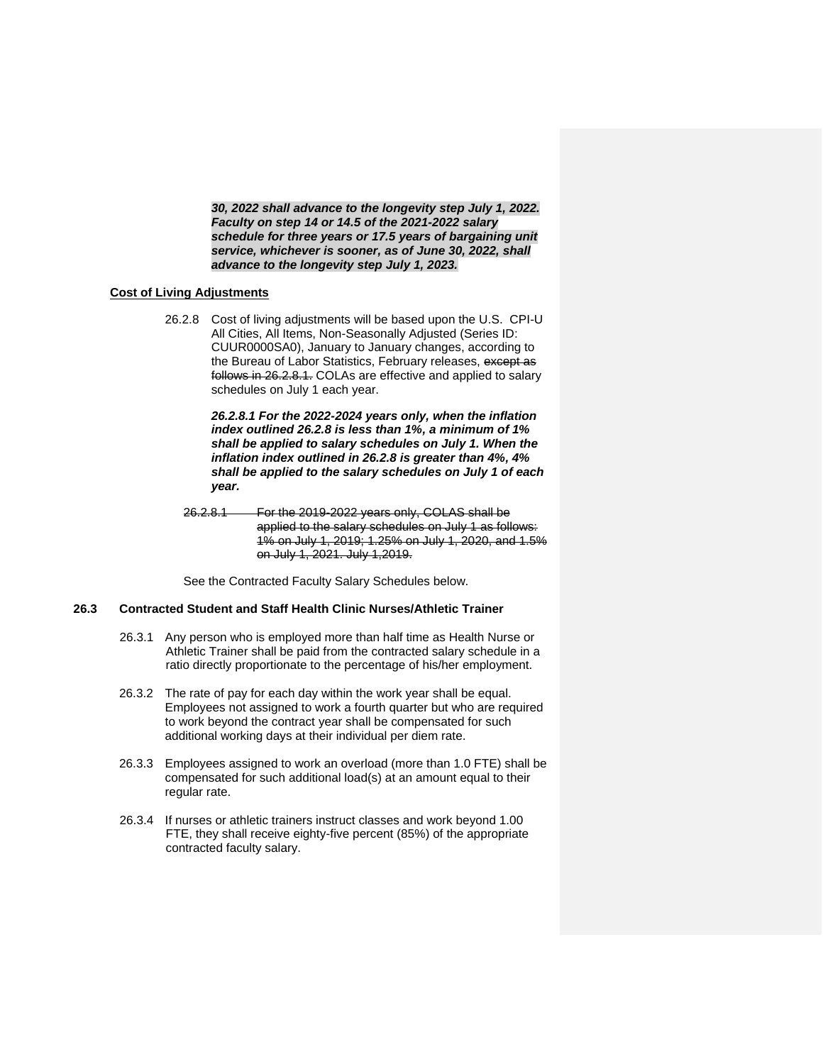*30, 2022 shall advance to the longevity step July 1, 2022. Faculty on step 14 or 14.5 of the 2021-2022 salary schedule for three years or 17.5 years of bargaining unit service, whichever is sooner, as of June 30, 2022, shall advance to the longevity step July 1, 2023.*

## **Cost of Living Adjustments**

26.2.8 Cost of living adjustments will be based upon the U.S. CPI-U All Cities, All Items, Non-Seasonally Adjusted (Series ID: CUUR0000SA0), January to January changes, according to the Bureau of Labor Statistics, February releases, except as follows in 26.2.8.1. COLAs are effective and applied to salary schedules on July 1 each year.

> *26.2.8.1 For the 2022-2024 years only, when the inflation index outlined 26.2.8 is less than 1%, a minimum of 1% shall be applied to salary schedules on July 1. When the inflation index outlined in 26.2.8 is greater than 4%, 4% shall be applied to the salary schedules on July 1 of each year.*

26.2.8.1 For the 2019-2022 years only, COLAS shall be applied to the salary schedules on July 1 as follows: 1% on July 1, 2019; 1.25% on July 1, 2020, and 1.5% on July 1, 2021. July 1,2019.

See the Contracted Faculty Salary Schedules below.

## **26.3 Contracted Student and Staff Health Clinic Nurses/Athletic Trainer**

- 26.3.1 Any person who is employed more than half time as Health Nurse or Athletic Trainer shall be paid from the contracted salary schedule in a ratio directly proportionate to the percentage of his/her employment.
- 26.3.2 The rate of pay for each day within the work year shall be equal. Employees not assigned to work a fourth quarter but who are required to work beyond the contract year shall be compensated for such additional working days at their individual per diem rate.
- 26.3.3 Employees assigned to work an overload (more than 1.0 FTE) shall be compensated for such additional load(s) at an amount equal to their regular rate.
- 26.3.4 If nurses or athletic trainers instruct classes and work beyond 1.00 FTE, they shall receive eighty-five percent (85%) of the appropriate contracted faculty salary.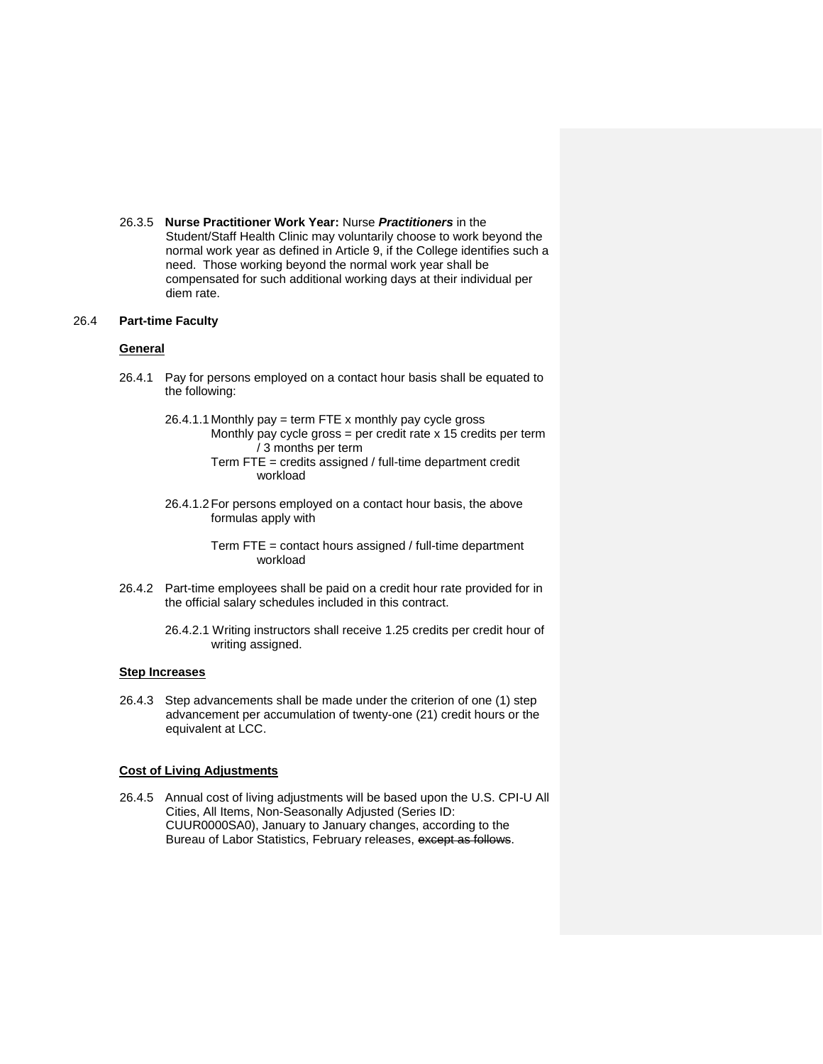26.3.5 **Nurse Practitioner Work Year:** Nurse *Practitioners* in the Student/Staff Health Clinic may voluntarily choose to work beyond the normal work year as defined in Article 9, if the College identifies such a need. Those working beyond the normal work year shall be compensated for such additional working days at their individual per diem rate.

## 26.4 **Part-time Faculty**

## **General**

- 26.4.1 Pay for persons employed on a contact hour basis shall be equated to the following:
	- 26.4.1.1 Monthly pay = term FTE x monthly pay cycle gross Monthly pay cycle gross = per credit rate  $x$  15 credits per term / 3 months per term
		- Term FTE = credits assigned / full-time department credit workload
	- 26.4.1.2For persons employed on a contact hour basis, the above formulas apply with

Term FTE = contact hours assigned / full-time department workload

- 26.4.2 Part-time employees shall be paid on a credit hour rate provided for in the official salary schedules included in this contract.
	- 26.4.2.1 Writing instructors shall receive 1.25 credits per credit hour of writing assigned.

#### **Step Increases**

26.4.3 Step advancements shall be made under the criterion of one (1) step advancement per accumulation of twenty-one (21) credit hours or the equivalent at LCC.

#### **Cost of Living Adjustments**

26.4.5 Annual cost of living adjustments will be based upon the U.S. CPI-U All Cities, All Items, Non-Seasonally Adjusted (Series ID: CUUR0000SA0), January to January changes, according to the Bureau of Labor Statistics, February releases, except as follows.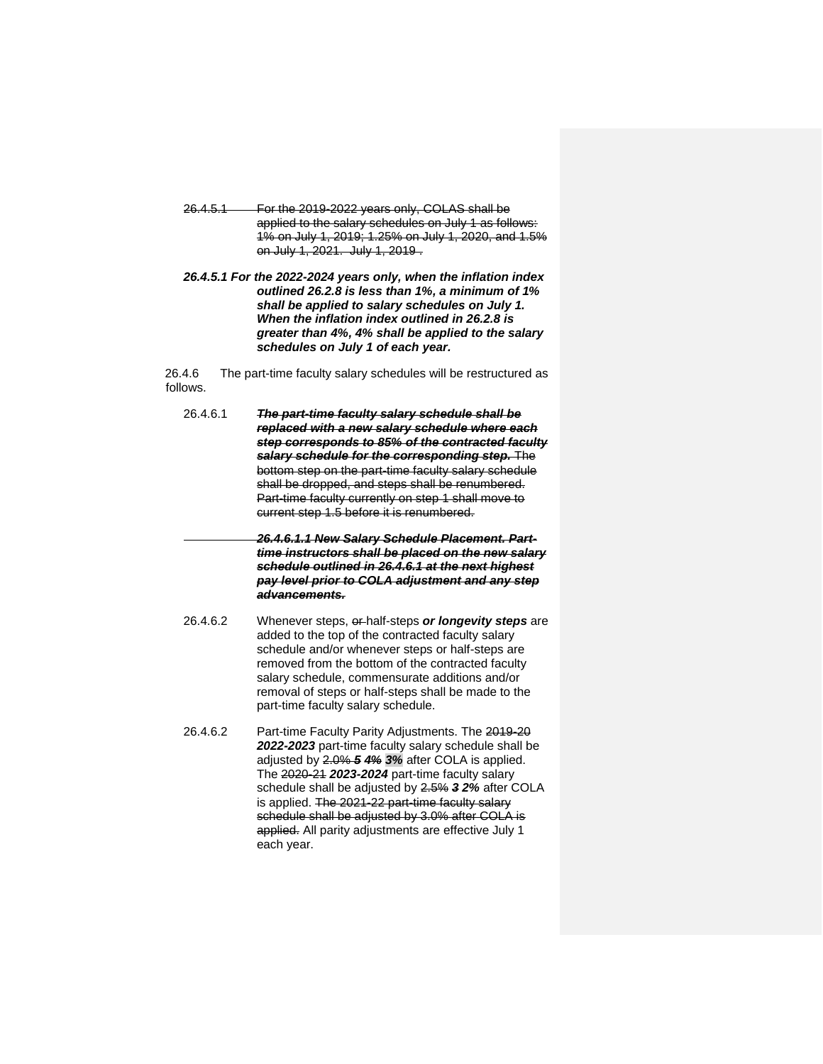- 26.4.5.1 For the 2019-2022 years only, COLAS shall be applied to the salary schedules on July 1 as follows: 1% on July 1, 2019; 1.25% on July 1, 2020, and 1.5% on July 1, 2021. July 1, 2019 .
- *26.4.5.1 For the 2022-2024 years only, when the inflation index outlined 26.2.8 is less than 1%, a minimum of 1% shall be applied to salary schedules on July 1. When the inflation index outlined in 26.2.8 is greater than 4%, 4% shall be applied to the salary schedules on July 1 of each year.*

26.4.6 The part-time faculty salary schedules will be restructured as follows.

| 26.4.6.1 | The part-time faculty salary schedule shall be<br>replaced with a new salary schedule where each<br>step corresponds to 85% of the contracted faculty<br>salary schedule for the corresponding step. The<br>bottom step on the part-time faculty salary schedule<br>shall be dropped, and steps shall be renumbered.<br>Part-time faculty currently on step 1 shall move to<br>current step 1.5 before it is renumbered.<br>26.4.6.1.1 New Salary Schedule Placement. Part-<br>time instructors shall be placed on the new salary<br>schedule outlined in 26.4.6.1 at the next highest<br>pay level prior to COLA adjustment and any step<br>advancements. |
|----------|------------------------------------------------------------------------------------------------------------------------------------------------------------------------------------------------------------------------------------------------------------------------------------------------------------------------------------------------------------------------------------------------------------------------------------------------------------------------------------------------------------------------------------------------------------------------------------------------------------------------------------------------------------|
| 26.4.6.2 | Whenever steps, or half-steps or longevity steps are<br>added to the top of the contracted faculty salary<br>schedule and/or whenever steps or half-steps are<br>removed from the bottom of the contracted faculty<br>salary schedule, commensurate additions and/or<br>removal of steps or half-steps shall be made to the<br>part-time faculty salary schedule.                                                                                                                                                                                                                                                                                          |
| 26.4.6.2 | Part-time Faculty Parity Adjustments. The 2019-20<br>2022-2023 part-time faculty salary schedule shall be<br>adjusted by 2.0% 5 4% 3% after COLA is applied.<br>The 2020-24 2023-2024 part-time faculty salary<br>schedule shall be adjusted by 2.5% 3 2% after COLA<br>is applied. The 2021-22 part-time faculty salary<br>schedule shall be adjusted by 3.0% after COLA is<br>applied. All parity adjustments are effective July 1                                                                                                                                                                                                                       |

each year.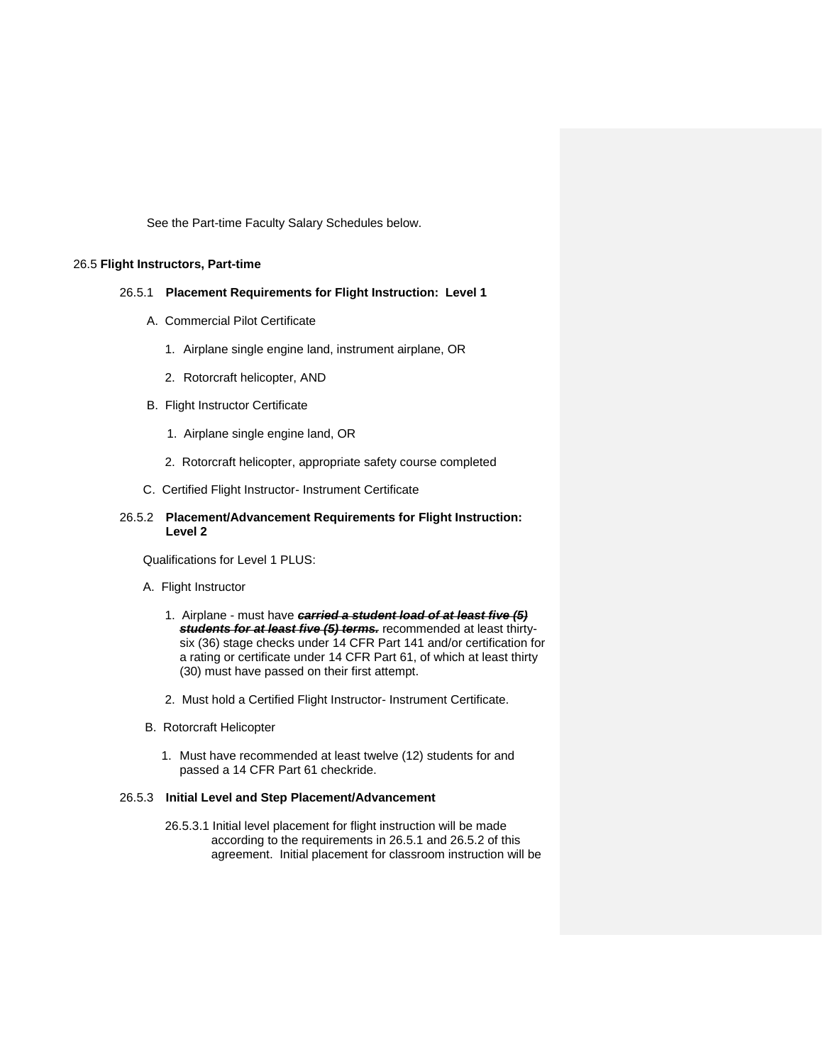See the Part-time Faculty Salary Schedules below.

## 26.5 **Flight Instructors, Part-time**

## 26.5.1 **Placement Requirements for Flight Instruction: Level 1**

- A. Commercial Pilot Certificate
	- 1. Airplane single engine land, instrument airplane, OR
	- 2. Rotorcraft helicopter, AND
- B. Flight Instructor Certificate
	- 1. Airplane single engine land, OR
	- 2. Rotorcraft helicopter, appropriate safety course completed
- C. Certified Flight Instructor- Instrument Certificate

## 26.5.2 **Placement/Advancement Requirements for Flight Instruction: Level 2**

Qualifications for Level 1 PLUS:

- A. Flight Instructor
	- 1. Airplane must have *carried a student load of at least five (5) students for at least five (5) terms.* recommended at least thirtysix (36) stage checks under 14 CFR Part 141 and/or certification for a rating or certificate under 14 CFR Part 61, of which at least thirty (30) must have passed on their first attempt.
	- 2. Must hold a Certified Flight Instructor- Instrument Certificate.
- B. Rotorcraft Helicopter
	- 1. Must have recommended at least twelve (12) students for and passed a 14 CFR Part 61 checkride.

## 26.5.3 **Initial Level and Step Placement/Advancement**

26.5.3.1 Initial level placement for flight instruction will be made according to the requirements in 26.5.1 and 26.5.2 of this agreement. Initial placement for classroom instruction will be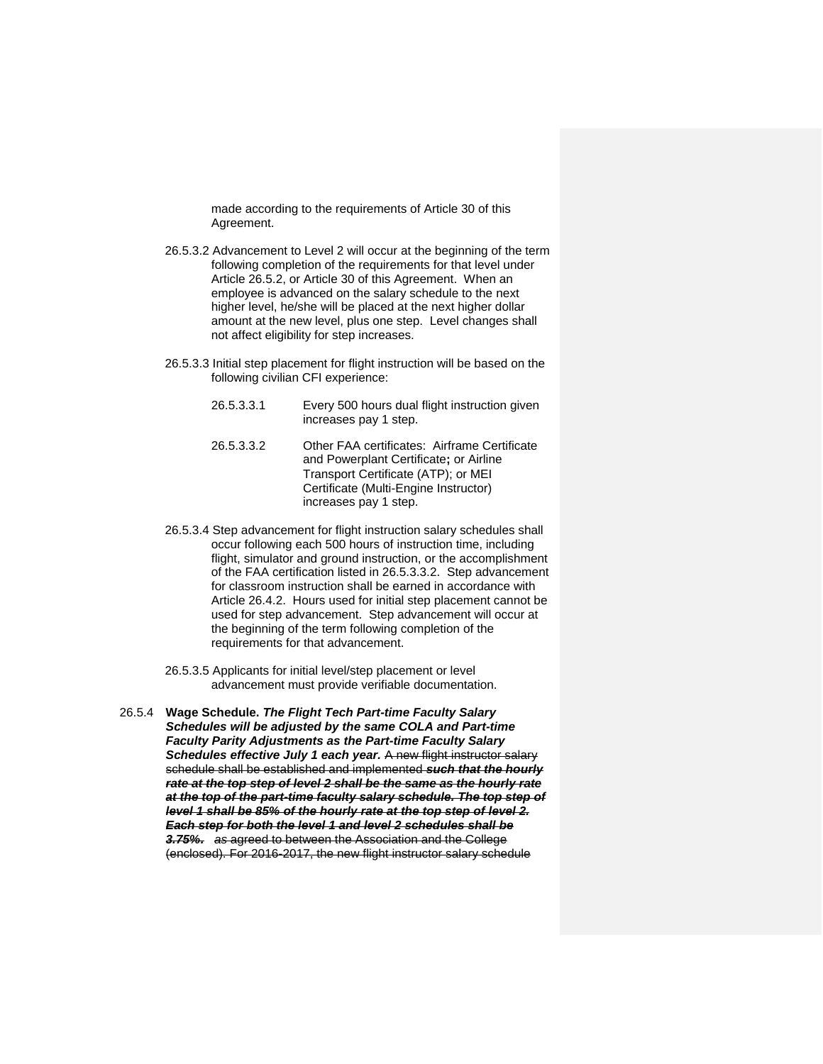made according to the requirements of Article 30 of this Agreement.

- 26.5.3.2 Advancement to Level 2 will occur at the beginning of the term following completion of the requirements for that level under Article 26.5.2, or Article 30 of this Agreement. When an employee is advanced on the salary schedule to the next higher level, he/she will be placed at the next higher dollar amount at the new level, plus one step. Level changes shall not affect eligibility for step increases.
- 26.5.3.3 Initial step placement for flight instruction will be based on the following civilian CFI experience:
	- 26.5.3.3.1 Every 500 hours dual flight instruction given increases pay 1 step.
	- 26.5.3.3.2 Other FAA certificates: Airframe Certificate and Powerplant Certificate**;** or Airline Transport Certificate (ATP); or MEI Certificate (Multi-Engine Instructor) increases pay 1 step.
- 26.5.3.4 Step advancement for flight instruction salary schedules shall occur following each 500 hours of instruction time, including flight, simulator and ground instruction, or the accomplishment of the FAA certification listed in 26.5.3.3.2. Step advancement for classroom instruction shall be earned in accordance with Article 26.4.2. Hours used for initial step placement cannot be used for step advancement. Step advancement will occur at the beginning of the term following completion of the requirements for that advancement.
- 26.5.3.5 Applicants for initial level/step placement or level advancement must provide verifiable documentation.
- 26.5.4 **Wage Schedule.** *The Flight Tech Part-time Faculty Salary Schedules will be adjusted by the same COLA and Part-time Faculty Parity Adjustments as the Part-time Faculty Salary Schedules effective July 1 each year.* A new flight instructor salary schedule shall be established and implemented *such that the hourly rate at the top step of level 2 shall be the same as the hourly rate at the top of the part-time faculty salary schedule. The top step of level 1 shall be 85% of the hourly rate at the top step of level 2. Each step for both the level 1 and level 2 schedules shall be 3.75%. as* agreed to between the Association and the College (enclosed). For 2016-2017, the new flight instructor salary schedule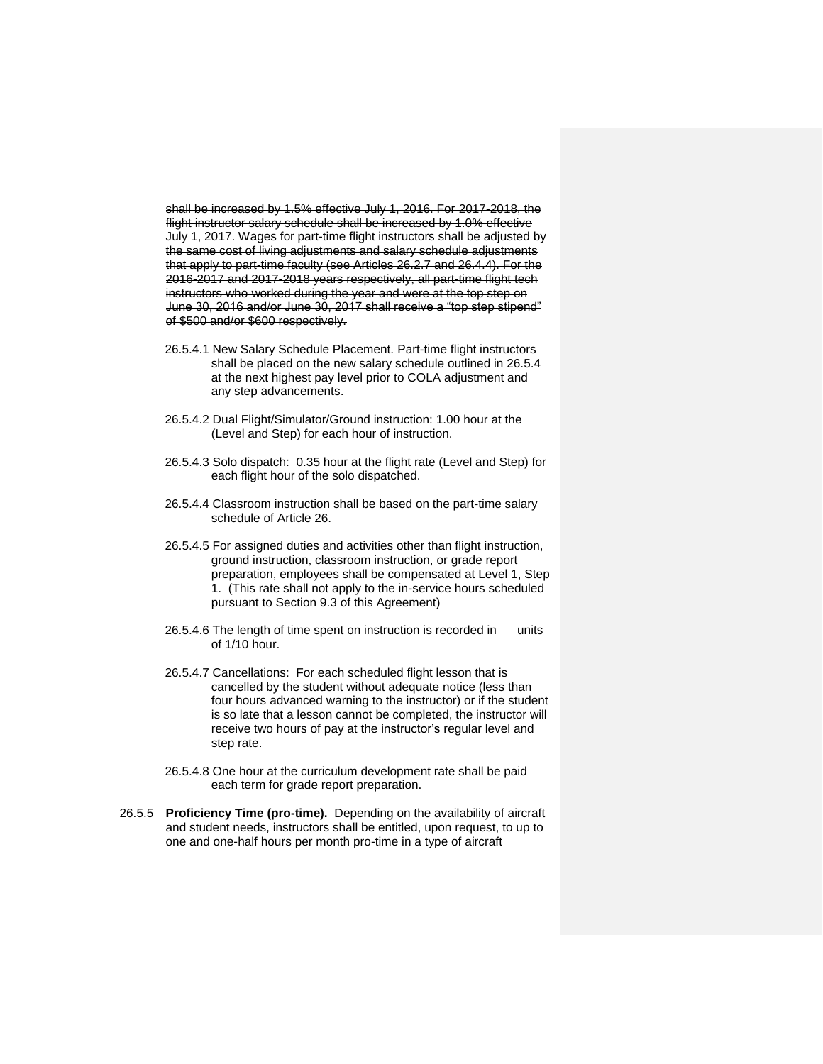shall be increased by 1.5% effective July 1, 2016. For 2017-2018, the flight instructor salary schedule shall be increased by 1.0% effective July 1, 2017. Wages for part-time flight instructors shall be adjusted by the same cost of living adjustments and salary schedule adjustments that apply to part-time faculty (see Articles 26.2.7 and 26.4.4). For the 2016-2017 and 2017-2018 years respectively, all part-time flight tech instructors who worked during the year and were at the top step on June 30, 2016 and/or June 30, 2017 shall receive a "top step stipend" of \$500 and/or \$600 respectively.

- 26.5.4.1 New Salary Schedule Placement. Part-time flight instructors shall be placed on the new salary schedule outlined in 26.5.4 at the next highest pay level prior to COLA adjustment and any step advancements.
- 26.5.4.2 Dual Flight/Simulator/Ground instruction: 1.00 hour at the (Level and Step) for each hour of instruction.
- 26.5.4.3 Solo dispatch: 0.35 hour at the flight rate (Level and Step) for each flight hour of the solo dispatched.
- 26.5.4.4 Classroom instruction shall be based on the part-time salary schedule of Article 26.
- 26.5.4.5 For assigned duties and activities other than flight instruction, ground instruction, classroom instruction, or grade report preparation, employees shall be compensated at Level 1, Step 1. (This rate shall not apply to the in-service hours scheduled pursuant to Section 9.3 of this Agreement)
- 26.5.4.6 The length of time spent on instruction is recorded in units of 1/10 hour.
- 26.5.4.7 Cancellations: For each scheduled flight lesson that is cancelled by the student without adequate notice (less than four hours advanced warning to the instructor) or if the student is so late that a lesson cannot be completed, the instructor will receive two hours of pay at the instructor's regular level and step rate.
- 26.5.4.8 One hour at the curriculum development rate shall be paid each term for grade report preparation.
- 26.5.5 **Proficiency Time (pro-time).** Depending on the availability of aircraft and student needs, instructors shall be entitled, upon request, to up to one and one-half hours per month pro-time in a type of aircraft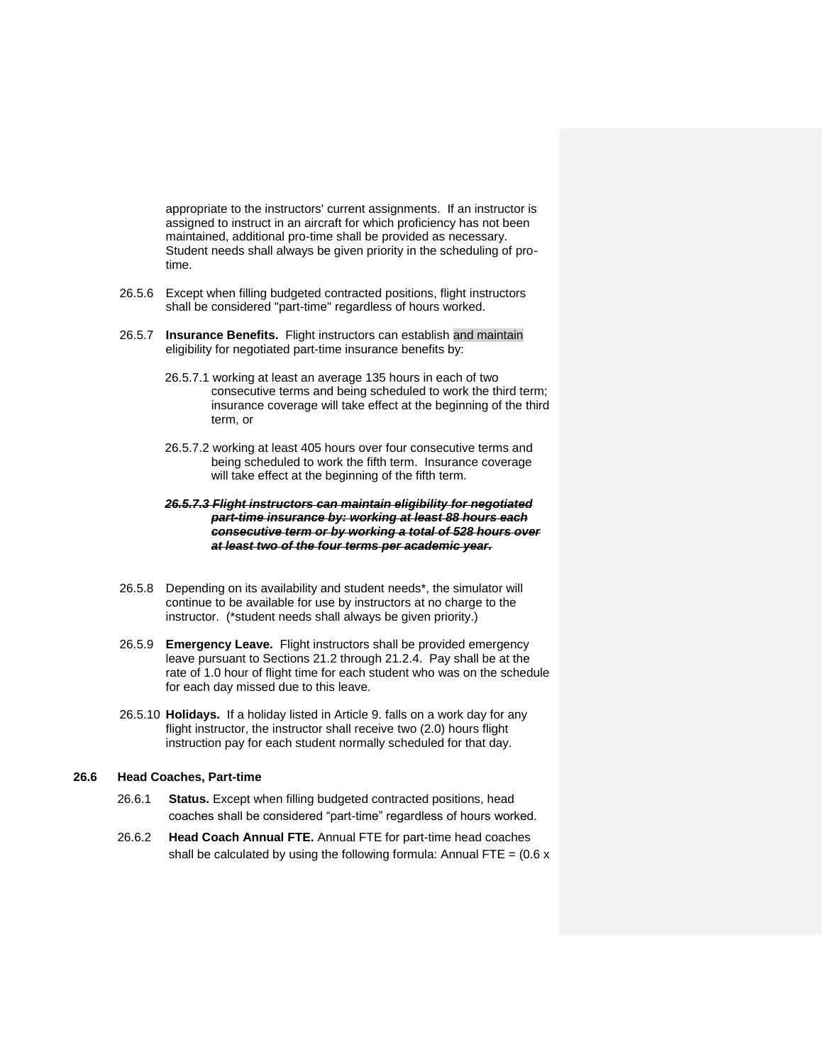appropriate to the instructors' current assignments. If an instructor is assigned to instruct in an aircraft for which proficiency has not been maintained, additional pro-time shall be provided as necessary. Student needs shall always be given priority in the scheduling of protime.

- 26.5.6 Except when filling budgeted contracted positions, flight instructors shall be considered "part-time" regardless of hours worked.
- 26.5.7 **Insurance Benefits.** Flight instructors can establish and maintain eligibility for negotiated part-time insurance benefits by:
	- 26.5.7.1 working at least an average 135 hours in each of two consecutive terms and being scheduled to work the third term; insurance coverage will take effect at the beginning of the third term, or
	- 26.5.7.2 working at least 405 hours over four consecutive terms and being scheduled to work the fifth term. Insurance coverage will take effect at the beginning of the fifth term.
	- *26.5.7.3 Flight instructors can maintain eligibility for negotiated part-time insurance by: working at least 88 hours each consecutive term or by working a total of 528 hours over at least two of the four terms per academic year.*
- 26.5.8 Depending on its availability and student needs\*, the simulator will continue to be available for use by instructors at no charge to the instructor. (\*student needs shall always be given priority.)
- 26.5.9 **Emergency Leave.** Flight instructors shall be provided emergency leave pursuant to Sections 21.2 through 21.2.4. Pay shall be at the rate of 1.0 hour of flight time for each student who was on the schedule for each day missed due to this leave.
- 26.5.10 **Holidays.** If a holiday listed in Article 9. falls on a work day for any flight instructor, the instructor shall receive two (2.0) hours flight instruction pay for each student normally scheduled for that day.

#### **26.6 Head Coaches, Part-time**

- 26.6.1 **Status.** Except when filling budgeted contracted positions, head coaches shall be considered "part-time" regardless of hours worked.
- 26.6.2 **Head Coach Annual FTE.** Annual FTE for part-time head coaches shall be calculated by using the following formula: Annual FTE =  $(0.6 x$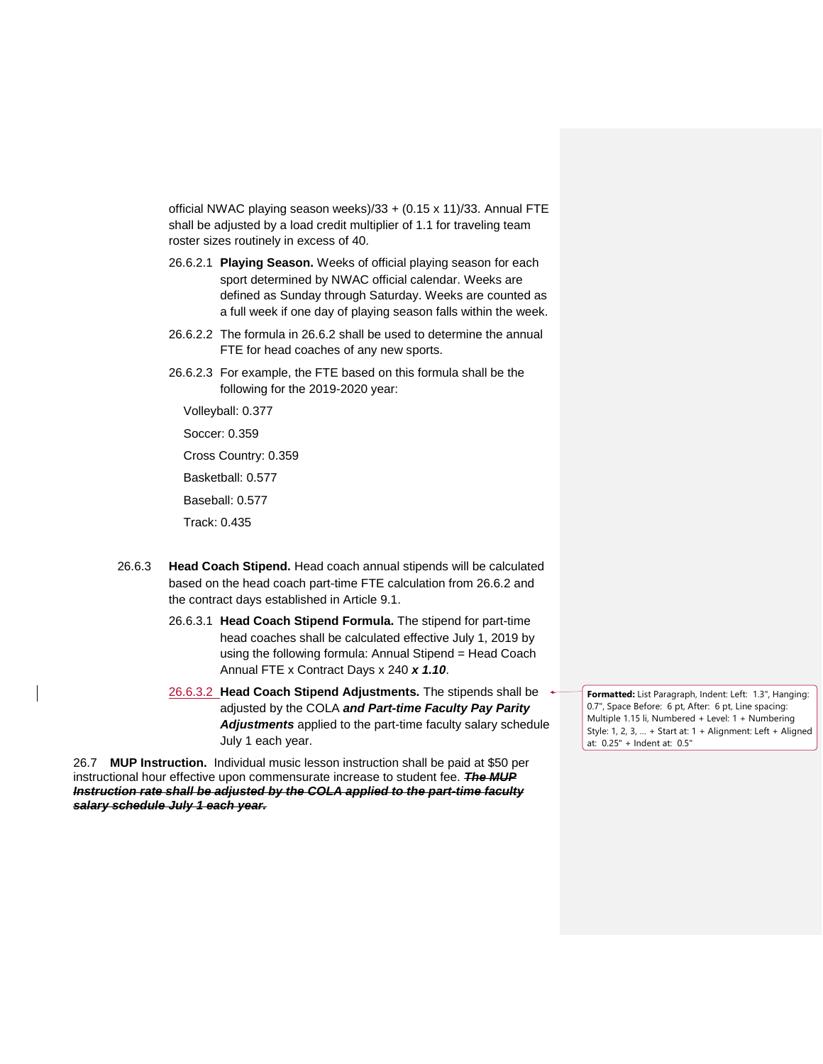official NWAC playing season weeks)/33 + (0.15 x 11)/33. Annual FTE shall be adjusted by a load credit multiplier of 1.1 for traveling team roster sizes routinely in excess of 40.

- 26.6.2.1 **Playing Season.** Weeks of official playing season for each sport determined by NWAC official calendar. Weeks are defined as Sunday through Saturday. Weeks are counted as a full week if one day of playing season falls within the week.
- 26.6.2.2 The formula in 26.6.2 shall be used to determine the annual FTE for head coaches of any new sports.
- 26.6.2.3 For example, the FTE based on this formula shall be the following for the 2019-2020 year:

Volleyball: 0.377

Soccer: 0.359

Cross Country: 0.359

Basketball: 0.577

Baseball: 0.577

Track: 0.435

- 26.6.3 **Head Coach Stipend.** Head coach annual stipends will be calculated based on the head coach part-time FTE calculation from 26.6.2 and the contract days established in Article 9.1.
	- 26.6.3.1 **Head Coach Stipend Formula.** The stipend for part-time head coaches shall be calculated effective July 1, 2019 by using the following formula: Annual Stipend = Head Coach Annual FTE x Contract Days x 240 *x 1.10*.
	- 26.6.3.2 **Head Coach Stipend Adjustments.** The stipends shall be adjusted by the COLA *and Part-time Faculty Pay Parity Adjustments* applied to the part-time faculty salary schedule July 1 each year.

26.7 **MUP Instruction.** Individual music lesson instruction shall be paid at \$50 per instructional hour effective upon commensurate increase to student fee. *The MUP Instruction rate shall be adjusted by the COLA applied to the part-time faculty salary schedule July 1 each year.*

**Formatted:** List Paragraph, Indent: Left: 1.3", Hanging: 0.7", Space Before: 6 pt, After: 6 pt, Line spacing: Multiple 1.15 li, Numbered + Level: 1 + Numbering Style: 1, 2, 3, … + Start at: 1 + Alignment: Left + Aligned at: 0.25" + Indent at: 0.5"